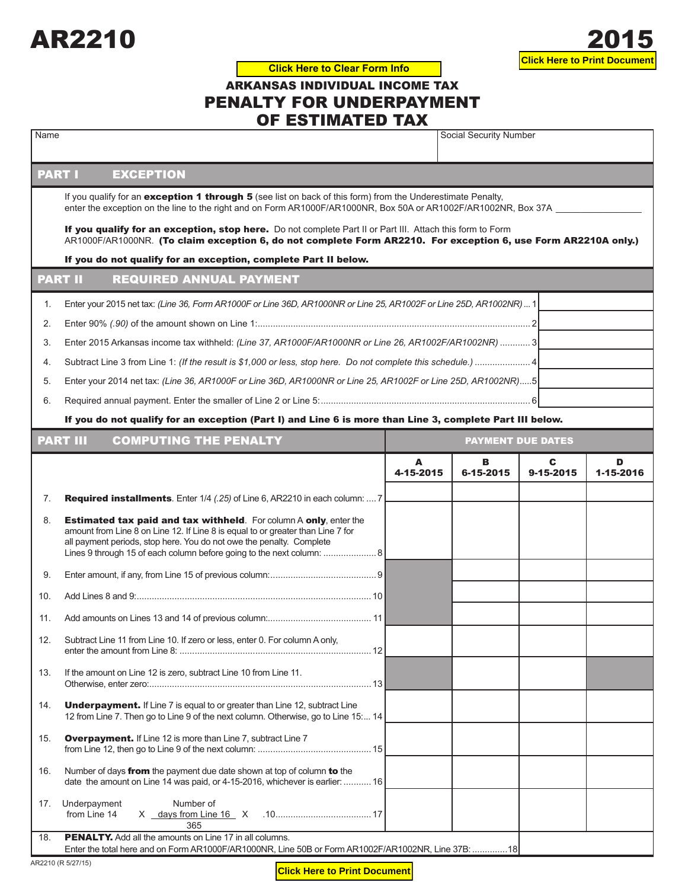

## ARKANSAS INDIVIDUAL INCOME TAX PENALTY FOR UNDERPAYMENT OF ESTIMATED TAX **Click Here to Clear Form Info**

| Name                                                                                                                                                                                                                           |                                                                                                                                                                                                                                                                                                              |                | Social Security Number   |                |                |  |  |  |  |  |
|--------------------------------------------------------------------------------------------------------------------------------------------------------------------------------------------------------------------------------|--------------------------------------------------------------------------------------------------------------------------------------------------------------------------------------------------------------------------------------------------------------------------------------------------------------|----------------|--------------------------|----------------|----------------|--|--|--|--|--|
|                                                                                                                                                                                                                                | <b>PART I</b><br><b>EXCEPTION</b>                                                                                                                                                                                                                                                                            |                |                          |                |                |  |  |  |  |  |
| If you qualify for an exception 1 through 5 (see list on back of this form) from the Underestimate Penalty,<br>enter the exception on the line to the right and on Form AR1000F/AR1000NR, Box 50A or AR1002F/AR1002NR, Box 37A |                                                                                                                                                                                                                                                                                                              |                |                          |                |                |  |  |  |  |  |
|                                                                                                                                                                                                                                | If you qualify for an exception, stop here. Do not complete Part II or Part III. Attach this form to Form                                                                                                                                                                                                    |                |                          |                |                |  |  |  |  |  |
|                                                                                                                                                                                                                                | AR1000F/AR1000NR. (To claim exception 6, do not complete Form AR2210. For exception 6, use Form AR2210A only.)                                                                                                                                                                                               |                |                          |                |                |  |  |  |  |  |
|                                                                                                                                                                                                                                | If you do not qualify for an exception, complete Part II below.<br><b>PART II</b><br><b>REQUIRED ANNUAL PAYMENT</b>                                                                                                                                                                                          |                |                          |                |                |  |  |  |  |  |
|                                                                                                                                                                                                                                |                                                                                                                                                                                                                                                                                                              |                |                          |                |                |  |  |  |  |  |
| 1.                                                                                                                                                                                                                             | Enter your 2015 net tax: (Line 36, Form AR1000F or Line 36D, AR1000NR or Line 25, AR1002F or Line 25D, AR1002NR) 1                                                                                                                                                                                           |                |                          |                |                |  |  |  |  |  |
| 2.                                                                                                                                                                                                                             |                                                                                                                                                                                                                                                                                                              |                |                          |                |                |  |  |  |  |  |
| 3.                                                                                                                                                                                                                             | Enter 2015 Arkansas income tax withheld: (Line 37, AR1000F/AR1000NR or Line 26, AR1002F/AR1002NR)  3                                                                                                                                                                                                         |                |                          |                |                |  |  |  |  |  |
| 4.                                                                                                                                                                                                                             |                                                                                                                                                                                                                                                                                                              |                |                          |                |                |  |  |  |  |  |
| 5.                                                                                                                                                                                                                             | Enter your 2014 net tax: (Line 36, AR1000F or Line 36D, AR1000NR or Line 25, AR1002F or Line 25D, AR1002NR)5                                                                                                                                                                                                 |                |                          |                |                |  |  |  |  |  |
| 6.                                                                                                                                                                                                                             |                                                                                                                                                                                                                                                                                                              |                |                          |                |                |  |  |  |  |  |
|                                                                                                                                                                                                                                | If you do not qualify for an exception (Part I) and Line 6 is more than Line 3, complete Part III below.                                                                                                                                                                                                     |                |                          |                |                |  |  |  |  |  |
|                                                                                                                                                                                                                                | <b>PART III</b><br><b>COMPUTING THE PENALTY</b>                                                                                                                                                                                                                                                              |                | <b>PAYMENT DUE DATES</b> |                |                |  |  |  |  |  |
|                                                                                                                                                                                                                                |                                                                                                                                                                                                                                                                                                              | A<br>4-15-2015 | в<br>6-15-2015           | C<br>9-15-2015 | D<br>1-15-2016 |  |  |  |  |  |
| 7.                                                                                                                                                                                                                             | <b>Required installments</b> . Enter 1/4 (.25) of Line 6, AR2210 in each column:  7                                                                                                                                                                                                                          |                |                          |                |                |  |  |  |  |  |
| 8.                                                                                                                                                                                                                             | <b>Estimated tax paid and tax withheld.</b> For column A only, enter the<br>amount from Line 8 on Line 12. If Line 8 is equal to or greater than Line 7 for<br>all payment periods, stop here. You do not owe the penalty. Complete<br>Lines 9 through 15 of each column before going to the next column:  8 |                |                          |                |                |  |  |  |  |  |
| 9.                                                                                                                                                                                                                             |                                                                                                                                                                                                                                                                                                              |                |                          |                |                |  |  |  |  |  |
| 10.                                                                                                                                                                                                                            |                                                                                                                                                                                                                                                                                                              |                |                          |                |                |  |  |  |  |  |
| 11.                                                                                                                                                                                                                            |                                                                                                                                                                                                                                                                                                              |                |                          |                |                |  |  |  |  |  |
| 12.                                                                                                                                                                                                                            | Subtract Line 11 from Line 10. If zero or less, enter 0. For column A only,                                                                                                                                                                                                                                  |                |                          |                |                |  |  |  |  |  |
| 13.                                                                                                                                                                                                                            | If the amount on Line 12 is zero, subtract Line 10 from Line 11.                                                                                                                                                                                                                                             |                |                          |                |                |  |  |  |  |  |
| 14.                                                                                                                                                                                                                            | <b>Underpayment.</b> If Line 7 is equal to or greater than Line 12, subtract Line<br>12 from Line 7. Then go to Line 9 of the next column. Otherwise, go to Line 15: 14                                                                                                                                      |                |                          |                |                |  |  |  |  |  |
| 15.                                                                                                                                                                                                                            | <b>Overpayment.</b> If Line 12 is more than Line 7, subtract Line 7                                                                                                                                                                                                                                          |                |                          |                |                |  |  |  |  |  |
| 16.                                                                                                                                                                                                                            | Number of days from the payment due date shown at top of column to the<br>date the amount on Line 14 was paid, or 4-15-2016, whichever is earlier:  16                                                                                                                                                       |                |                          |                |                |  |  |  |  |  |
| 17.                                                                                                                                                                                                                            | Underpayment<br>Number of<br>from Line 14<br>365                                                                                                                                                                                                                                                             |                |                          |                |                |  |  |  |  |  |
| 18.                                                                                                                                                                                                                            | <b>PENALTY.</b> Add all the amounts on Line 17 in all columns.<br>Enter the total here and on Form AR1000F/AR1000NR, Line 50B or Form AR1002F/AR1002NR, Line 37B: 18                                                                                                                                         |                |                          |                |                |  |  |  |  |  |
|                                                                                                                                                                                                                                | AR2210 (R 5/27/15)                                                                                                                                                                                                                                                                                           |                |                          |                |                |  |  |  |  |  |